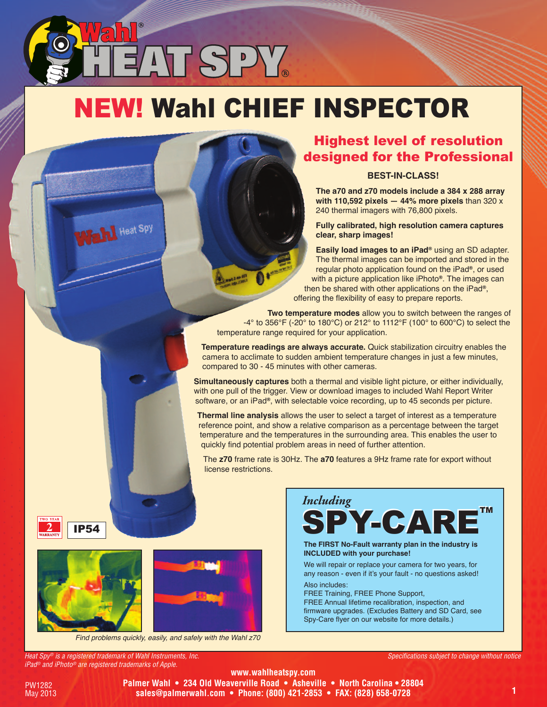# NEW! Wahl CHIEF INsPECtor

AT SPY.

### Highest level of resolution designed for the Professional

#### **Best-in-Class!**

**the a70 and z70 models include a 384 x 288 array with 110,592 pixels — 44% more pixels** than 320 x 240 thermal imagers with 76,800 pixels.

**Fully calibrated, high resolution camera captures clear, sharp images!**

**easily load images to an iPad®** using an SD adapter. The thermal images can be imported and stored in the regular photo application found on the iPad**®**, or used with a picture application like iPhoto**®**. The images can then be shared with other applications on the iPad**®**, offering the flexibility of easy to prepare reports.

**two temperature modes** allow you to switch between the ranges of -4° to 356°F (-20° to 180°C) or 212° to 1112°F (100° to 600°C) to select the temperature range required for your application.

**temperature readings are always accurate.** Quick stabilization circuitry enables the camera to acclimate to sudden ambient temperature changes in just a few minutes, compared to 30 - 45 minutes with other cameras.

**simultaneously captures** both a thermal and visible light picture, or either individually, with one pull of the trigger. View or download images to included Wahl Report Writer software, or an iPad**®**, with selectable voice recording, up to 45 seconds per picture.

**thermal line analysis** allows the user to select a target of interest as a temperature reference point, and show a relative comparison as a percentage between the target temperature and the temperatures in the surrounding area. This enables the user to quickly find potential problem areas in need of further attention.

The **z70** frame rate is 30Hz. The **a70** features a 9Hz frame rate for export without license restrictions.





Heat Spy

Find problems quickly, easily, and safely with the Wahl z70



**the FiRst no-Fault warranty plan in the industry is inClUDeD with your purchase!**

We will repair or replace your camera for two years, for any reason - even if it's your fault - no questions asked!

Also includes: FREE Training, FREE Phone Support, FREE Annual lifetime recalibration, inspection, and firmware upgrades. (Excludes Battery and SD Card, see Spy-Care flyer on our website for more details.)

*Heat Spy® is a registered trademark of Wahl Instruments, Inc. iPad® and iPhoto® are registered trademarks of Apple.*



**www.wahlheatspy.com Palmer Wahl • 234 Old Weaverville Road • Asheville • North Carolina • 28804 sales@palmerwahl.com • Phone: (800) 421-2853 • FAX: (828) 658-0728**

*Specifications subject to change without notice*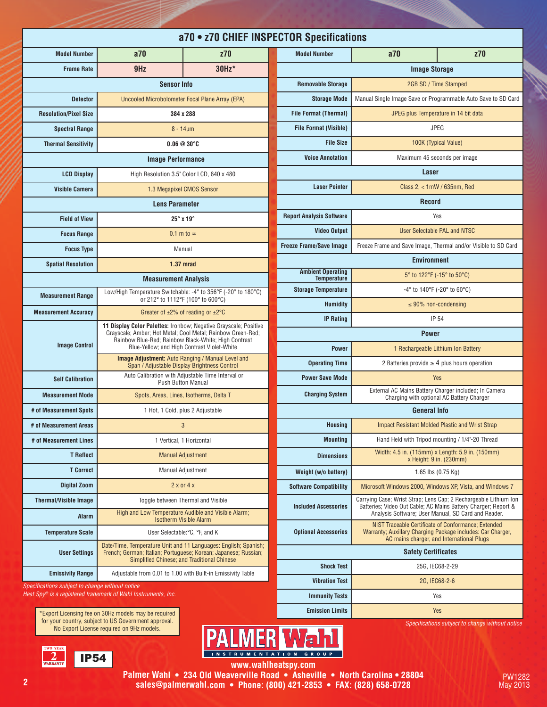| a70 • z70 CHIEF INSPECTOR Specifications                                   |                                                                                                                                                                                                                                                                                                    |                                                                                                                                    |                                                |               |
|----------------------------------------------------------------------------|----------------------------------------------------------------------------------------------------------------------------------------------------------------------------------------------------------------------------------------------------------------------------------------------------|------------------------------------------------------------------------------------------------------------------------------------|------------------------------------------------|---------------|
| <b>Model Number</b>                                                        | a70                                                                                                                                                                                                                                                                                                | z70                                                                                                                                | <b>Model Number</b>                            |               |
| <b>Frame Rate</b>                                                          | 9 <sub>Hz</sub>                                                                                                                                                                                                                                                                                    | 30Hz*                                                                                                                              |                                                |               |
| <b>Sensor Info</b>                                                         |                                                                                                                                                                                                                                                                                                    |                                                                                                                                    | <b>Removable Storage</b>                       |               |
| <b>Detector</b>                                                            | Uncooled Microbolometer Focal Plane Array (EPA)                                                                                                                                                                                                                                                    |                                                                                                                                    | <b>Storage Mode</b>                            | Manu          |
| <b>Resolution/Pixel Size</b>                                               | 384 x 288                                                                                                                                                                                                                                                                                          |                                                                                                                                    | <b>File Format (Thermal)</b>                   |               |
| <b>Spectral Range</b>                                                      | $8 - 14 \mu m$                                                                                                                                                                                                                                                                                     |                                                                                                                                    | <b>File Format (Visible)</b>                   |               |
| <b>Thermal Sensitivity</b>                                                 | $0.06@30^{\circ}$ C                                                                                                                                                                                                                                                                                |                                                                                                                                    | <b>File Size</b>                               |               |
| <b>Image Performance</b>                                                   |                                                                                                                                                                                                                                                                                                    | <b>Voice Annotation</b>                                                                                                            |                                                |               |
| <b>LCD Display</b>                                                         | High Resolution 3.5" Color LCD, 640 x 480                                                                                                                                                                                                                                                          |                                                                                                                                    |                                                |               |
| <b>Visible Camera</b>                                                      | 1.3 Megapixel CMOS Sensor                                                                                                                                                                                                                                                                          |                                                                                                                                    | <b>Laser Pointer</b>                           |               |
|                                                                            | <b>Lens Parameter</b>                                                                                                                                                                                                                                                                              |                                                                                                                                    |                                                |               |
| <b>Field of View</b>                                                       | $25^\circ$ x 19 $^\circ$                                                                                                                                                                                                                                                                           |                                                                                                                                    | <b>Report Analysis Software</b>                |               |
| <b>Focus Range</b>                                                         | 0.1 m to $\infty$                                                                                                                                                                                                                                                                                  |                                                                                                                                    | <b>Video Output</b>                            |               |
| <b>Focus Type</b>                                                          | Manual                                                                                                                                                                                                                                                                                             |                                                                                                                                    | <b>Freeze Frame/Save Image</b>                 | Free:         |
| <b>Spatial Resolution</b>                                                  | 1.37 mrad                                                                                                                                                                                                                                                                                          |                                                                                                                                    |                                                |               |
|                                                                            | <b>Measurement Analysis</b>                                                                                                                                                                                                                                                                        |                                                                                                                                    | <b>Ambient Operating</b><br><b>Temperature</b> |               |
| <b>Measurement Range</b>                                                   | Low/High Temperature Switchable: -4° to 356°F (-20° to 180°C)<br>or 212° to 1112°F (100° to 600°C)                                                                                                                                                                                                 |                                                                                                                                    | <b>Storage Temperature</b>                     |               |
| <b>Measurement Accuracy</b>                                                | Greater of $\pm 2\%$ of reading or $\pm 2\degree$ C                                                                                                                                                                                                                                                |                                                                                                                                    | <b>Humidity</b>                                |               |
|                                                                            | 11 Display Color Palettes: Ironbow; Negative Grayscale; Positive<br>Grayscale; Amber; Hot Metal; Cool Metal; Rainbow Green-Red;<br>Rainbow Blue-Red; Rainbow Black-White; High Contrast<br>Blue-Yellow; and High Contrast Violet-White<br><b>Image Adjustment:</b> Auto Ranging / Manual Level and |                                                                                                                                    | <b>IP Rating</b>                               |               |
| <b>Image Control</b>                                                       |                                                                                                                                                                                                                                                                                                    |                                                                                                                                    |                                                |               |
|                                                                            |                                                                                                                                                                                                                                                                                                    |                                                                                                                                    | <b>Power</b>                                   |               |
|                                                                            | Span / Adjustable Display Brightness Control                                                                                                                                                                                                                                                       | Auto Calibration with Adjustable Time Interval or                                                                                  | <b>Operating Time</b>                          |               |
| <b>Self Calibration</b>                                                    | <b>Push Button Manual</b>                                                                                                                                                                                                                                                                          |                                                                                                                                    | <b>Power Save Mode</b>                         |               |
| <b>Measurement Mode</b>                                                    | Spots, Areas, Lines, Isotherms, Delta T                                                                                                                                                                                                                                                            |                                                                                                                                    | <b>Charging System</b>                         |               |
| # of Measurement Spots                                                     | 1 Hot, 1 Cold, plus 2 Adjustable                                                                                                                                                                                                                                                                   |                                                                                                                                    |                                                |               |
| # of Measurement Areas                                                     |                                                                                                                                                                                                                                                                                                    | 3                                                                                                                                  | <b>Housing</b>                                 |               |
| # of Measurement Lines                                                     |                                                                                                                                                                                                                                                                                                    | 1 Vertical, 1 Horizontal                                                                                                           | <b>Mounting</b>                                |               |
| <b>T</b> Reflect                                                           |                                                                                                                                                                                                                                                                                                    | <b>Manual Adjustment</b>                                                                                                           | <b>Dimensions</b>                              |               |
| <b>T</b> Correct                                                           |                                                                                                                                                                                                                                                                                                    | Manual Adjustment                                                                                                                  | Weight (w/o battery)                           |               |
| <b>Digital Zoom</b>                                                        |                                                                                                                                                                                                                                                                                                    | $2 \times$ or $4 \times$                                                                                                           | <b>Software Compatibility</b>                  | Mi            |
| <b>Thermal/Visible Image</b>                                               |                                                                                                                                                                                                                                                                                                    | Toggle between Thermal and Visible                                                                                                 | <b>Included Accessories</b>                    | Carry<br>Batt |
| <b>Alarm</b>                                                               |                                                                                                                                                                                                                                                                                                    | High and Low Temperature Audible and Visible Alarm;<br><b>Isotherm Visible Alarm</b>                                               |                                                |               |
| <b>Temperature Scale</b>                                                   | User Selectable: °C, °F, and K                                                                                                                                                                                                                                                                     |                                                                                                                                    | <b>Optional Accessories</b>                    | W             |
| <b>User Settings</b>                                                       |                                                                                                                                                                                                                                                                                                    | Date/Time, Temperature Unit and 11 Languages: English; Spanish;<br>French; German; Italian; Portuguese; Korean; Japanese; Russian; |                                                |               |
|                                                                            | Simplified Chinese; and Traditional Chinese                                                                                                                                                                                                                                                        |                                                                                                                                    | <b>Shock Test</b>                              |               |
| <b>Emissivity Range</b><br>Specifications subject to change without notice |                                                                                                                                                                                                                                                                                                    | Adjustable from 0.01 to 1.00 with Built-in Emissivity Table                                                                        | <b>Vibration Test</b>                          |               |
|                                                                            | Heat $Sov$ <sup>®</sup> is a registered trademark of Wahl Instruments. Inc.                                                                                                                                                                                                                        |                                                                                                                                    | Immunity Toete                                 |               |

| JI UIL UPUUIIVUUUIU                            |                                                                                                                                                                                           |     |  |  |
|------------------------------------------------|-------------------------------------------------------------------------------------------------------------------------------------------------------------------------------------------|-----|--|--|
| <b>Model Number</b>                            | a70                                                                                                                                                                                       | z70 |  |  |
|                                                | <b>Image Storage</b>                                                                                                                                                                      |     |  |  |
| <b>Removable Storage</b>                       | 2GB SD / Time Stamped                                                                                                                                                                     |     |  |  |
| <b>Storage Mode</b>                            | Manual Single Image Save or Programmable Auto Save to SD Card                                                                                                                             |     |  |  |
| <b>File Format (Thermal)</b>                   | JPEG plus Temperature in 14 bit data                                                                                                                                                      |     |  |  |
| <b>File Format (Visible)</b>                   | <b>JPEG</b>                                                                                                                                                                               |     |  |  |
| <b>File Size</b>                               | 100K (Typical Value)                                                                                                                                                                      |     |  |  |
| <b>Voice Annotation</b>                        | Maximum 45 seconds per image                                                                                                                                                              |     |  |  |
|                                                | Laser                                                                                                                                                                                     |     |  |  |
| <b>Laser Pointer</b>                           | Class $2, < 1$ mW / 635nm, Red                                                                                                                                                            |     |  |  |
| <b>Record</b>                                  |                                                                                                                                                                                           |     |  |  |
| <b>Report Analysis Software</b>                | Yes                                                                                                                                                                                       |     |  |  |
| <b>Video Output</b>                            | User Selectable PAL and NTSC                                                                                                                                                              |     |  |  |
| <b>Freeze Frame/Save Image</b>                 | Freeze Frame and Save Image, Thermal and/or Visible to SD Card                                                                                                                            |     |  |  |
|                                                | <b>Environment</b>                                                                                                                                                                        |     |  |  |
| <b>Ambient Operating</b><br><b>Temperature</b> | 5° to 122°F (-15° to 50°C)                                                                                                                                                                |     |  |  |
| <b>Storage Temperature</b>                     | $-4^{\circ}$ to 140°F ( $-20^{\circ}$ to 60°C)                                                                                                                                            |     |  |  |
| Humidity                                       | $\leq$ 90% non-condensing                                                                                                                                                                 |     |  |  |
| <b>IP Rating</b>                               | <b>IP 54</b>                                                                                                                                                                              |     |  |  |
|                                                | <b>Power</b>                                                                                                                                                                              |     |  |  |
| <b>Power</b>                                   | 1 Rechargeable Lithium Ion Battery                                                                                                                                                        |     |  |  |
| <b>Operating Time</b>                          | 2 Batteries provide $\geq 4$ plus hours operation                                                                                                                                         |     |  |  |
| <b>Power Save Mode</b>                         | Yes                                                                                                                                                                                       |     |  |  |
| <b>Charging System</b>                         | External AC Mains Battery Charger included; In Camera<br>Charging with optional AC Battery Charger                                                                                        |     |  |  |
|                                                | <b>General Info</b>                                                                                                                                                                       |     |  |  |
| <b>Housing</b>                                 | <b>Impact Resistant Molded Plastic and Wrist Strap</b>                                                                                                                                    |     |  |  |
| <b>Mounting</b>                                | Hand Held with Tripod mounting / 1/4"-20 Thread                                                                                                                                           |     |  |  |
| <b>Dimensions</b>                              | Width: 4.5 in. (115mm) x Length: 5.9 in. (150mm)<br>x Height: 9 in. (230mm)                                                                                                               |     |  |  |
| Weight (w/o battery)                           | 1.65 lbs (0.75 Kg)                                                                                                                                                                        |     |  |  |
| <b>Software Compatibility</b>                  | Microsoft Windows 2000, Windows XP, Vista, and Windows 7                                                                                                                                  |     |  |  |
| <b>Included Accessories</b>                    | Carrying Case; Wrist Strap; Lens Cap; 2 Rechargeable Lithium Ion<br>Batteries; Video Out Cable; AC Mains Battery Charger; Report &<br>Analysis Software; User Manual, SD Card and Reader. |     |  |  |
| <b>Optional Accessories</b>                    | NIST Traceable Certificate of Conformance; Extended<br>Warranty; Auxillary Charging Package includes: Car Charger,<br>AC mains charger, and International Plugs                           |     |  |  |
| <b>Safety Certificates</b>                     |                                                                                                                                                                                           |     |  |  |
| <b>Shock Test</b>                              | 25G, IEC68-2-29                                                                                                                                                                           |     |  |  |
| <b>Vibration Test</b>                          | 2G, IEC68-2-6                                                                                                                                                                             |     |  |  |
| <b>Immunity Tests</b>                          | Yes                                                                                                                                                                                       |     |  |  |
| <b>Emission Limits</b>                         | <b>Yes</b>                                                                                                                                                                                |     |  |  |

*Specifications subject to change without notice*



**www.wahlheatspy.com www.wahlheatspy.com**

**Palmer Wahl • 234 Old Weaverville Road • Asheville • North Carolina • 28804 sales@palmerwahl.com • Phone: (800) 421-2853 • FAX: (828) 658-0728**

**2**

**IP54** 

\*Export Licensing fee on 30Hz models may be required for your country, subject to US Government approval. No Export License required on 9Hz models.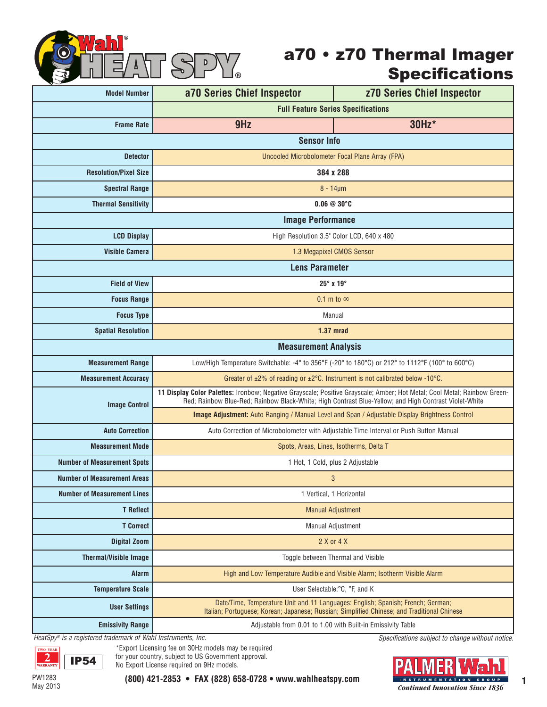

## a70 • z70 Thermal Imager Specifications

| ᢦ<br><b>Model Number</b>           | a70 Series Chief Inspector                                                                                                                                                                                                        | <b>z70 Series Chief Inspector</b> |  |  |
|------------------------------------|-----------------------------------------------------------------------------------------------------------------------------------------------------------------------------------------------------------------------------------|-----------------------------------|--|--|
|                                    | <b>Full Feature Series Specifications</b>                                                                                                                                                                                         |                                   |  |  |
| <b>Frame Rate</b>                  | 9Hz                                                                                                                                                                                                                               | 30Hz*                             |  |  |
|                                    | <b>Sensor Info</b>                                                                                                                                                                                                                |                                   |  |  |
| <b>Detector</b>                    | Uncooled Microbolometer Focal Plane Array (FPA)                                                                                                                                                                                   |                                   |  |  |
| <b>Resolution/Pixel Size</b>       | 384 x 288                                                                                                                                                                                                                         |                                   |  |  |
| <b>Spectral Range</b>              | $8 - 14 \mu m$                                                                                                                                                                                                                    |                                   |  |  |
| <b>Thermal Sensitivity</b>         | $0.06 \ @ \ 30^{\circ}C$                                                                                                                                                                                                          |                                   |  |  |
|                                    | <b>Image Performance</b>                                                                                                                                                                                                          |                                   |  |  |
| <b>LCD Display</b>                 | High Resolution 3.5" Color LCD, 640 x 480                                                                                                                                                                                         |                                   |  |  |
| <b>Visible Camera</b>              | 1.3 Megapixel CMOS Sensor                                                                                                                                                                                                         |                                   |  |  |
|                                    | <b>Lens Parameter</b>                                                                                                                                                                                                             |                                   |  |  |
| <b>Field of View</b>               | $25^\circ$ x 19 $^\circ$                                                                                                                                                                                                          |                                   |  |  |
| <b>Focus Range</b>                 | 0.1 m to $\infty$                                                                                                                                                                                                                 |                                   |  |  |
| <b>Focus Type</b>                  | Manual                                                                                                                                                                                                                            |                                   |  |  |
| <b>Spatial Resolution</b>          | 1.37 mrad                                                                                                                                                                                                                         |                                   |  |  |
|                                    | <b>Measurement Analysis</b>                                                                                                                                                                                                       |                                   |  |  |
| <b>Measurement Range</b>           | Low/High Temperature Switchable: -4° to 356°F (-20° to 180°C) or 212° to 1112°F (100° to 600°C)                                                                                                                                   |                                   |  |  |
| <b>Measurement Accuracy</b>        | Greater of $\pm 2\%$ of reading or $\pm 2\degree$ C. Instrument is not calibrated below -10°C.                                                                                                                                    |                                   |  |  |
| <b>Image Control</b>               | 11 Display Color Palettes: Ironbow; Negative Grayscale; Positive Grayscale; Amber; Hot Metal; Cool Metal; Rainbow Green-<br>Red: Rainbow Blue-Red: Rainbow Black-White: High Contrast Blue-Yellow: and High Contrast Violet-White |                                   |  |  |
|                                    | Image Adjustment: Auto Ranging / Manual Level and Span / Adjustable Display Brightness Control                                                                                                                                    |                                   |  |  |
| <b>Auto Correction</b>             | Auto Correction of Microbolometer with Adjustable Time Interval or Push Button Manual                                                                                                                                             |                                   |  |  |
| <b>Measurement Mode</b>            | Spots, Areas, Lines, Isotherms, Delta T                                                                                                                                                                                           |                                   |  |  |
| <b>Number of Measurement Spots</b> | 1 Hot, 1 Cold, plus 2 Adjustable                                                                                                                                                                                                  |                                   |  |  |
| <b>Number of Measurement Areas</b> | 3                                                                                                                                                                                                                                 |                                   |  |  |
| <b>Number of Measurement Lines</b> | 1 Vertical, 1 Horizontal                                                                                                                                                                                                          |                                   |  |  |
| <b>T</b> Reflect                   | <b>Manual Adjustment</b>                                                                                                                                                                                                          |                                   |  |  |
| <b>T</b> Correct                   | <b>Manual Adjustment</b>                                                                                                                                                                                                          |                                   |  |  |
| <b>Digital Zoom</b>                | 2 X or 4 X                                                                                                                                                                                                                        |                                   |  |  |
| <b>Thermal/Visible Image</b>       | Toggle between Thermal and Visible                                                                                                                                                                                                |                                   |  |  |
| <b>Alarm</b>                       | High and Low Temperature Audible and Visible Alarm; Isotherm Visible Alarm                                                                                                                                                        |                                   |  |  |
| <b>Temperature Scale</b>           | User Selectable: °C, °F, and K                                                                                                                                                                                                    |                                   |  |  |
| <b>User Settings</b>               | Date/Time, Temperature Unit and 11 Languages: English; Spanish; French; German;<br>Italian; Portuguese; Korean; Japanese; Russian; Simplified Chinese; and Traditional Chinese                                                    |                                   |  |  |
| <b>Emissivity Range</b>            | Adjustable from 0.01 to 1.00 with Built-in Emissivity Table                                                                                                                                                                       |                                   |  |  |

*HeatSpy® is a registered trademark of Wahl Instruments, Inc.*



\*Export Licensing fee on 30Hz models may be required for your country, subject to US Government approval. No Export License required on 9Hz models.

*Specifications subject to change without notice.*

May <sup>2013</sup> *Continued Innovation Since 1836*